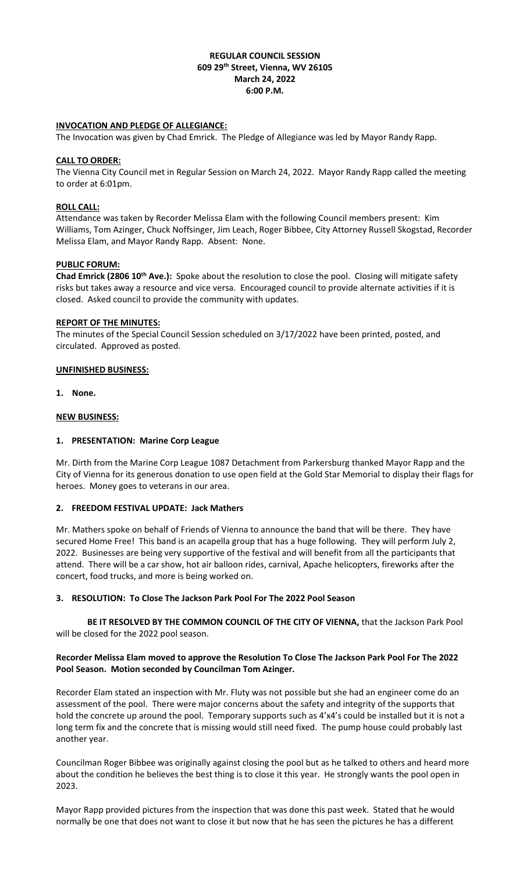### **REGULAR COUNCIL SESSION 609 29th Street, Vienna, WV 26105 March 24, 2022 6:00 P.M.**

#### **INVOCATION AND PLEDGE OF ALLEGIANCE:**

The Invocation was given by Chad Emrick. The Pledge of Allegiance was led by Mayor Randy Rapp.

#### **CALL TO ORDER:**

The Vienna City Council met in Regular Session on March 24, 2022. Mayor Randy Rapp called the meeting to order at 6:01pm.

### **ROLL CALL:**

Attendance was taken by Recorder Melissa Elam with the following Council members present: Kim Williams, Tom Azinger, Chuck Noffsinger, Jim Leach, Roger Bibbee, City Attorney Russell Skogstad, Recorder Melissa Elam, and Mayor Randy Rapp. Absent: None.

## **PUBLIC FORUM:**

**Chad Emrick (2806 10th Ave.):** Spoke about the resolution to close the pool. Closing will mitigate safety risks but takes away a resource and vice versa. Encouraged council to provide alternate activities if it is closed. Asked council to provide the community with updates.

## **REPORT OF THE MINUTES:**

The minutes of the Special Council Session scheduled on 3/17/2022 have been printed, posted, and circulated. Approved as posted.

## **UNFINISHED BUSINESS:**

**1. None.**

## **NEW BUSINESS:**

# **1. PRESENTATION: Marine Corp League**

Mr. Dirth from the Marine Corp League 1087 Detachment from Parkersburg thanked Mayor Rapp and the City of Vienna for its generous donation to use open field at the Gold Star Memorial to display their flags for heroes. Money goes to veterans in our area.

#### **2. FREEDOM FESTIVAL UPDATE: Jack Mathers**

Mr. Mathers spoke on behalf of Friends of Vienna to announce the band that will be there. They have secured Home Free! This band is an acapella group that has a huge following. They will perform July 2, 2022. Businesses are being very supportive of the festival and will benefit from all the participants that attend. There will be a car show, hot air balloon rides, carnival, Apache helicopters, fireworks after the concert, food trucks, and more is being worked on.

#### **3. RESOLUTION: To Close The Jackson Park Pool For The 2022 Pool Season**

**BE IT RESOLVED BY THE COMMON COUNCIL OF THE CITY OF VIENNA,** that the Jackson Park Pool will be closed for the 2022 pool season.

## **Recorder Melissa Elam moved to approve the Resolution To Close The Jackson Park Pool For The 2022 Pool Season. Motion seconded by Councilman Tom Azinger.**

Recorder Elam stated an inspection with Mr. Fluty was not possible but she had an engineer come do an assessment of the pool. There were major concerns about the safety and integrity of the supports that hold the concrete up around the pool. Temporary supports such as 4'x4's could be installed but it is not a long term fix and the concrete that is missing would still need fixed. The pump house could probably last another year.

Councilman Roger Bibbee was originally against closing the pool but as he talked to others and heard more about the condition he believes the best thing is to close it this year. He strongly wants the pool open in 2023.

Mayor Rapp provided pictures from the inspection that was done this past week. Stated that he would normally be one that does not want to close it but now that he has seen the pictures he has a different